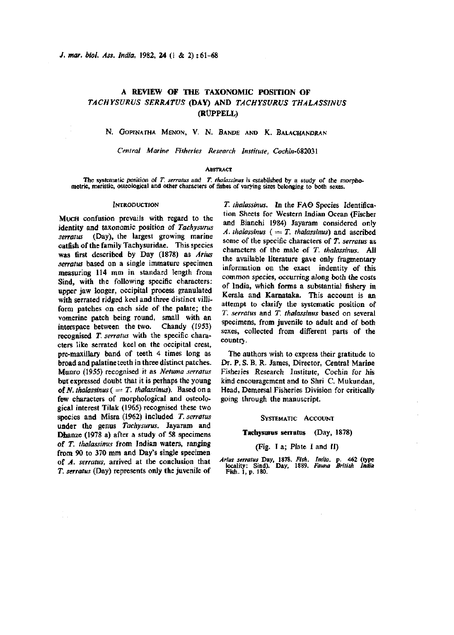# **A REVIEW OF THE TAXONOMIC POSITION OF**  *TACHYSURUS SERRATUS* **(DAY) AND** *TACHYSURVS THALASSINUS*  **(ROPPELL)**

N. GOPINATHA MENON, V. N. BANDE AND K. BALACHANDRAN

Central Marine Fisheries Research Institute, Cochin-682031

### **ABSTRACT**

The systematic position of *T. serratus* and *T. thalassinus* is established by a study of the morphometric, meristic, osteological and other characters of fishes of varying sizes belonging to both sexes.

#### **INTRODUCTION**

MUCH confusion prevails with regard to the identity and taxonomic position of *Tachysurus serratus* (Day), the largest growing marine catfish of the family Tachysuridae. This species was first described by Day (1878) as *Arius serratus* based on a single immature specimen measuring 114 mm in standard length from Sind, with the following specific characters: upper jaw longer, occipital process granulated with serrated ridged keel and three distinct villiform patches on each side of the palate; the vomerine patch being round, small with an interspace between the two. Chandy (1953) recognised *T. serratus* with the specific characters like serrated keel on the occipital crest, pre-maxillary band of teeth 4 times long as broad and palatine teeth in three distinct patches. Munro (1955) recognised it as *Netuma serratus*  but expressed doubt that it is perhaps the young of *N. thalassinus* ( $= T$ . *thalassinus*). Based on a few characters of morphological and osteological interest Tilak (1965) recognised these two species and Misra (1962) included *T. serratus*  under the genus *Tachysurus.* Jayaram and Dhanze (1978 a) after a study of 58 specimens of *T. thalassinus* from Indian waters, ranging from 90 to 370 mm and Day's single specimen of *A. serratus,* arrived at the conclusion that *T. serratus* (Day) represents only the juvenile of

*T. thalassinus.* In the FA© Species Identification Sheets for Western Indian Ocean (Fischer and Bianchi 1984) Jayaram considered only *A. thalassinus* ( $= T$ . *thalassinus*) and ascribed some of the specific characters of *T. serratus* as characters of the male of *T. thalassinus.* All the available literature gave only fragmentary information on the exact indentity of this common species, occurring along both the costs of India, which forms a substantial fishery in Kerala and Karnataka. This account is an attempt to clarify the systematic position of *T. serratus* and *T. thalassinus* based on several specimens, from juvenile to adult and of both sexes, collected from different parts of the countrj.

The authors wish to express their gratitude to Dr. P. S. B. R. James, Director, Central Marine Fisheries Research Institute, Cochin for his kind encouragement and to Shri C. Mukundan, Head, Demersal Fisheries Division for critically going through the manuscript.

#### SYSTEMATIC ACCOUNT

# **Tachysurus serratus** (Day, 1878)

#### (Fig. 1 a; Plate I and II)

*Arius serratus* Day, 1878. *Fish. India,* p. 462 (type locality: Sind). Day, 1889. *Fauna British India*  Fish. 1, p. 180.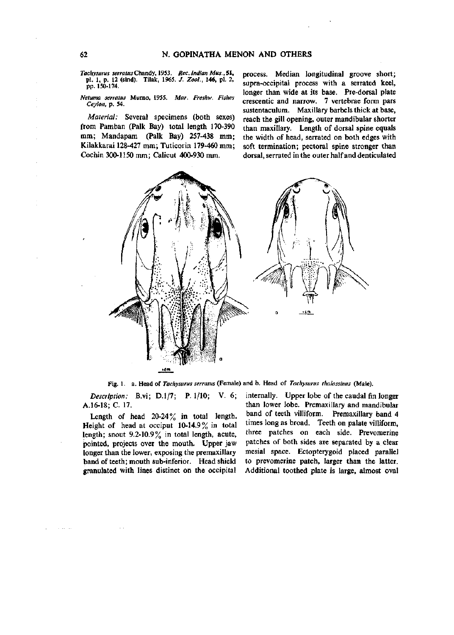*Tachysurus serratus*Chandy, 1953. *Rec. Indian Mus.,* 51, pi. 1, p. 12 (sind). Tilak, 1965. *J. Zool.,* **146,** pi. 2, pp. 150-174.

*Netuma serratus* Murno, 1955. *Mar. Freshw. Fishes Ceylon,* p. 54.

*Material:* Several specimens (both sexes) from Pamban (Palk Bay) total length 170-390 mm; Mandapam (Palk Bay) 257-438 mm; Kilakkarai 128-427 mm; Tuticorin 179-460 mm; Cochin 300-1150 mm; Calicut 400-930 mm.

process. Median longitudinal groove short; supra-occipital process with a serrated keel, longer than wide at its base. Pre-dorsal plate crescentic and narrow. 7 vertebrae form pars sustentaculum. Maxillary barbels thick at base, reach the gill opening, outer mandibular shorter than maxillary. Length of dorsal spine equals the width of head, serrated on both edges with soft termination; pectoral spine stronger than dorsal, serrated in the outer half and denticulated



Fig. 1. a. Head of *Tachysurus serratus* (Female) and b. Head of *Tachysurus thalassinus* (Male).

*Description:* B.vi; D.l/7; P. 1/10; V. 6; A.16-18; C. 17.

Length of head  $20-24\%$  in total length. Height of head at occiput  $10-14.9\%$  in total length; snout 9.2-10.9% in total length, acute, pointed, projects over the mouth. Upper jaw longer than the lower, exposing the premaxillary band of teeth; mouth sub-inferior. Head shield granulated with lines distinct on the occipital

 $\sim$  100  $\sim$  100

internally. Upper lobe of the caudal fin longer than lower lobe. Premaxillary and mandibular band of teeth villiform. Premaxillary band 4 times long as broad. Teeth on palate villiform, three patches on each side. Prevomerine patches of both sides are separated by a clear mesial space. Ectopterygoid placed parallel to prevomerine patch, larger than the latter. Additional toothed plate is large, almost oval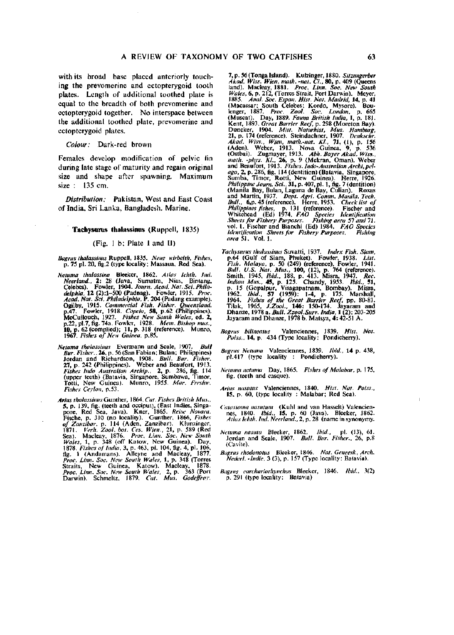with its broad base placed anteriorly touching the prevomerine and ectopterygoid tooth plates. Length of additional toothed plate is equal to the breadth of both prevomerine and ectopterygoid together. No interspace between the additional toothed plate, prevomerine and ectopterygoid plates.

*Colour:* Dark-red brown

Females develop modification of pelvic fin during late stage of maturity and regain original size and shape after spawning. Maximum size : 135 cm.

*Distribution:* Pakistan, West and East Coast of India, Sri Lanka, Bangladesh. Marine.

### **Tachysurus thalassinus** (Ruppell, 1835)

### (Fig. 1 b; Plate 1 and II)

*Bagnis thalassinus* Ruppell, 1835. *Neue wirbelth, Fishes,*  p. 75 pi. 20, flg.2 (type locality; Massaua, Red Sea).

- Netuma thalassina Bleeker, 1862. Atlas Ichth. Ind.<br>Neerland., 2: 28 (Java, Sumatra, Nias, Bintang.<br>Celebos). Fowler, 1904. Journ. Acad. Nat. Sci. Phila-<br>delphia, 12 (2):1-500 (Padnag). Fowler, 1915. Proc.<br>Acad. Nat. Sci. P Ogilby, 1915. Commercial Fish. Fisher. Queensland.<br>p.47. Fowler, 1918. Copeia, 58, p.62 (Philippines).<br>McCullouch, 1927. Fishes New South Wales, ed. 2,<br>p.22, pl.7, fig. 74a. Fowler, 1928. Mem. Bishop mus.,<br>10, p. 62 (compl
- *Netuma thalassinus* Evermann and Scale, 1907. *Bull Bur. Fisher.,* 26, p. 56(San Fabian; Bulan; Philippines) Jordan and Richardson, 1908. *Bull. Bur. Fisher.*  27, p. 242 (Philippines). Weber and Beaufort, 1913. *Fishes Indo Australian Archip., 2,* p. 286, fig. 114 (upper teeth) (Batavia, Singapore, Sumbawa, Timor, Totti, New Guinea). Munro, 1955. *Mar. Fieshw. Fishes Ceylon,* p. 53.
- *Arius thalassinus* Gunlher, 1864. *Cat. Fishes British Mus.,*  5, p. 139, fig. (teeth and occiput), (East Indies, Singapore, Red Sea, Java). Kner, 1865. Reise Novara.<br>Fische, p. 310 (no locality). Gunther, 1866, *Fishes Soffere, 1971*. *Verh. 2001*, p. 114 (Aden, Zanzibar). Ktunzinger Straits, New Guinea, Katow). Macleay, 1878. *Proc. Linn. Soc. New South Wales,* 2, p. 363 (Port Darwin). Schmeltz, 1879. *Cat. Mus. Godeffroy.*

7, p. 56 (Tonga Island). Kulzinger, 1880. Sitzungerber<br>Akad, Wiss, Wien. math. -nat. Ci., 80, p. 409 (Queens<br>land). Macleay, 1881. Proc. Linn, Soc. New South<br>Wales, 6, p. 212, (Torres Strait, Port Darwin). Meyer,<br>1885. Ana *dentification Sheets for Fishery Purposes.*<br>area 51. Vol. 1.

- Tachysurus thalassinus Suvatti, 1937. Index Fish. Siam,<br>p.64 (Gulf of Siam, Phuket). Fowler, 1938. List.<br>Fish. Malaya, p. 50 (249) (reference), Fowler, 1941.<br>Bull. U.S. Nat. Mus., 100, (12), p. 764 (reference).<br>Smith, 1945
- *Bagrus bilineatus* Valenciennes, 1839. *Hist. Nat. Poiss.,\4,p.* 434 (Type locality: Pondicherry).
- *Bagrus Netuma* Valenciennes, 1839. *Ibid.,* 14 p. 438, pi.417 (type locality : Pondicherry).
- *Netuma netuma* Day, 1865. *Fishes of Malabar,* p. 175, fig. (teeth and casque).
- *Arius nasutus* Valenciennes, 1840. *Hist. Nat. Poiss.,*  15, p. 60, (type locality : Malabar; Red Sea).
- *Catastoma nasutum* (Kuhl and van Hasselt) Valencien-nes, 1840. *Ibid.,* 15, p. 60 (Java). Bleeker, 1862. *Atlas Ichth. Ind. Neerland.*,2, p. 28 (name in synonymy.
- *Netuma nasuta* Bleeker, 1862. *Ibid.,* pi. (13), 61. Jordan and Seale, 1907. *Bull. Bur. Fisher.,* 26, p.8 (Cavite).
- *Bagrus rhodonotus* Bleeker, 1846. *Nat. Geneesk, Arch. Nederl. -Indie,* 3 (3), p. 157 (Type locality: Batavia).
- *Bagrus carcliariorhyiichos* Bleeker, 1846. *Ibid.,* 3(2) p. 291 (type locality: Batavia)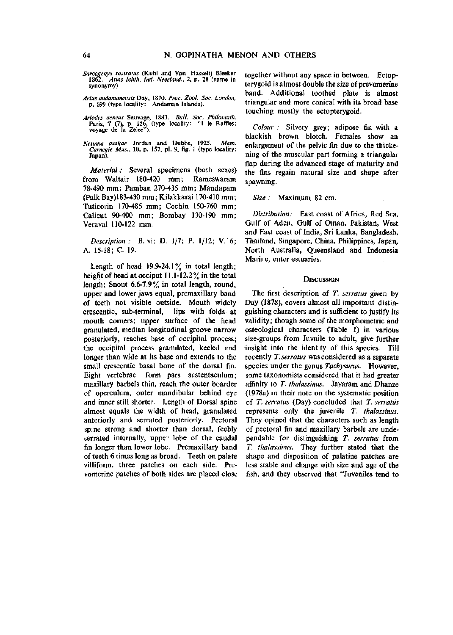- *Sarcogenys rostratus* (Kuhl and Van Hasselt) Bleeker 1862. *Atlas Ichth. Ind. Neerland..* 2, p. 28 (name in synonymy).
- *Arius andamanensis* Day, 1870. *Proc. Zool. Soc. London,*  p. 699 (type locality: Andaman Islands).
- *Ariodes aeneus* Sauvage, 1883. *Bull. Soc. Philomath.*  Paris, 7 (7), p. 156, (type locality: "I le Raffles; voyage de la Zelee").
- *Netuma osakae* Jordan and Hubbs, 1925. *Mem. Carnegie Mus.,* 10, p. 157, pi. 9, fig. 1 (type locality: Japan).

*Material:* Several specimens (both sexes) from Waltair 180-420 mm; Rameswaram 78-490 mm; Pamban 270-435 mm; Mandapam (Palk Bay)183-430 mm; Kilakkarai 170-410 mm; Tuticorin 170-485 mm; Cochin 150-760 mm; Calicut 90-400 mm; Bombay 130-190 mm; Veraval 110-122 mm.

*Description:* B. vi; D. 1/7; P. 1/12; V. 6; A. 15-18; C. 19.

Length of head  $19.9-24.1\%$  in total length; height of head at occiput 11.1-12.2% in the total length; Snout 6.6-7.9% in total length, round, upper and lower jaws equal, premaxillary band of teeth not visible outside. Mouth widely crescentic, sub-terminal, lips with folds at mouth corners; upper surface of the head granulated, median longitudinal groove narrow posteriorly, reaches base of occipital process; the occipital process granulated, keeled and longer than wide at its base and extends to the small crescentic basal bone of the dorsal fin. Eight vertebrae form pars sustentaculum; maxillary barbels thin, reach the outer boarder of operculum, outer mandibular behind eye and inner still shorter. Length of Dorsal spine almost equals the width of head, granulated anteriorly and serrated posteriorly. Pectoral spine strong and shorter than dorsal, feebly serrated internally, upper lobe of the caudal fin longer than lower lobe. Premaxillary band of teeth 6 times long as broad. Teeth on palate villiform, three patches on each side. Prevomerine patches of both sides are placed close together without any space in between. Ectopterygoid is almost double the size of prevomerine band. Additional toothed plate is almost triangular and more conical with its broad base touching mostly the ectopterygoid.

*Colour :* Silvery grey; adipose fin with a blackish brown blotch. Females show an enlargement of the pelvic fin due to the thickening of the muscular part forming a triangular flap during the advanced stage of maturity and the fins regain natural size and shape after spawning.

### *Size :* Maximum 82 cm.

*Distribution:* East coast of Africa, Red Sea, Gulf of Aden, Gulf of Oman, Pakistan, West and East coast of India, Sri Lanka, Bangladesh, Thailand, Singapore, China, Philippines, Japan, North Australia, Queensland and Indonesia Marine, enter estuaries.

#### **DISCUSSION**

The first description of *T. serratus* given by Day (1878), covers almost all important distinguishing characters and is sufficient to justify its validity; though some of the morphometric and osteological characters (Table 1) in various size-groups from Juvnile to adult, give further insight into the identity of this species. Till recently *T. serratus* was considered as a separate species under the genus *Tachysurus.* However, some taxonomists considered that it had greater affinity to *T. thalassinus.* Jayaram and Dhanze (1978a) in their note on the systematic position of *T. serratus* (Day) concluded that *T. serratus*  represents only the juvenile *T. thalassinus.*  They opined that the characters such as length of pectoral fin and maxillary barbels are undependable for distinguishing *T. serratus* from *T. thalassinus.* They further stated that the shape and disposition of palatine patches are less stable and change with size and age of the fish, and they observed that "Juveniles tend to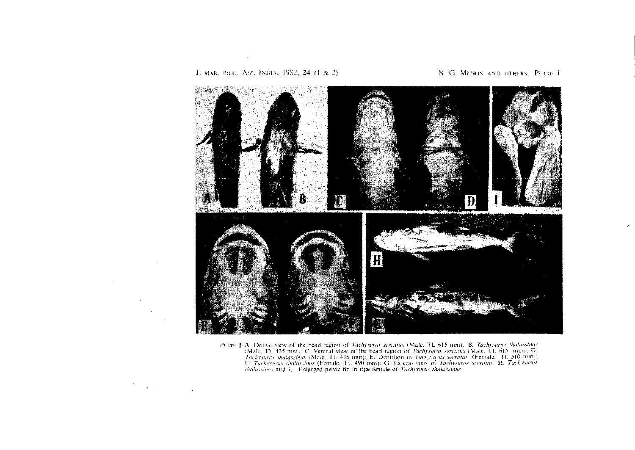

PLATE J. A. Dossal view of the head region of Tachysurus serratus (Male, TL 615 mm), B. Tachysurus thalassinus A. LOOSAL VIEW OF the head tegror of Tachystards serratio of Tachystards, T. 615 thint, B. Tachystards Server (Male, TL 615 mm); C. Ventral view of the head region of Tachystards (Male, TL 615 mm); D. Tachystards (Male, TL

J. MAR. BIOL. ASS. INDIA, 1982, 24 (1 & 2)

 $\sim 100$ 

 $\label{eq:2.1} \frac{d\mathbf{r}}{d\mathbf{r}} = \frac{1}{2} \mathbf{r} \left[ \mathbf{r} \mathbf{r} \right] \mathbf{r} = \frac{1}{2} \mathbf{r} \left[ \mathbf{r} \right] \mathbf{r}$ 

## N. G. MENON AND OTHERS. PLATE 1

 $\epsilon$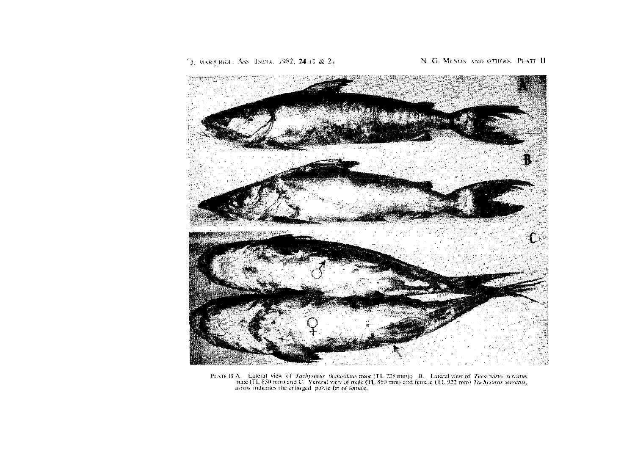

PLATE H.A. Lateral view of *Tachysurus thalassinus* male (TL 728 mm); B. Lateral view of *Tachysurus serratus* male (TL 850 mm) and C. Ventral view of male (TL 850 mm) and female (TL 922 mm) *Tachysurus serratus*, arrow in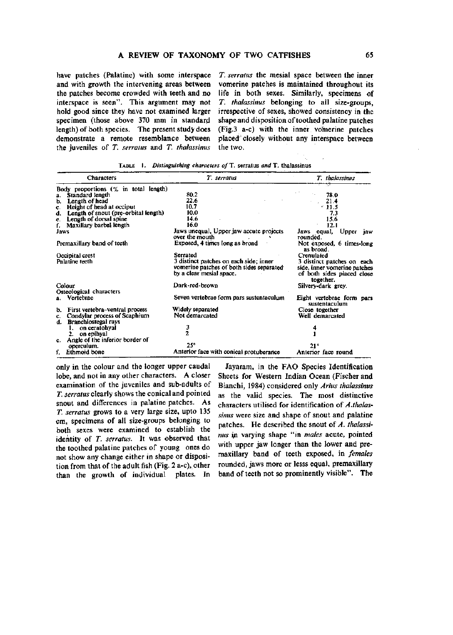have patches (Palatine) with some interspace and with growth the intervening areas between the patches become crowded with teeth and no interspace is seen". This argument may not hold good since they have not examined larger specimen (those above 370 mm in standard length) of both species. The present study does demonstrate a remote resemblance between the juveniles of *T. serratus* and *T. thalassinus* 

*T. serratus* the mesial space between the inner vomerine patches is maintained throughout its life in both sexes. Similarly, specimens of *T. thalassinus* belonging to all size-groups, irrespective of sexes, showed consistency in the shape and disposition of toothed palatine patches (Fig.3 a-c) with the inner vomerine patches placed closely without any interspace between the two.

| <b>Characters</b>                                                      | T. serratus                                                                                                    | T. thalassinus                                                                           |  |  |
|------------------------------------------------------------------------|----------------------------------------------------------------------------------------------------------------|------------------------------------------------------------------------------------------|--|--|
| Body proportions $(\%$ in total length)                                |                                                                                                                |                                                                                          |  |  |
| Standard length                                                        | 80.2                                                                                                           | 78.0                                                                                     |  |  |
| Length of head<br>ь.                                                   | 22.6                                                                                                           | 21.4                                                                                     |  |  |
| Height of head at occiput<br>C.                                        | 10.7                                                                                                           | $*11.5$                                                                                  |  |  |
| d. Length of snout (pre-orbital length)                                | 10.0                                                                                                           | 73                                                                                       |  |  |
| Length of dorsal spine<br>е.                                           | 14.6                                                                                                           | 15.6                                                                                     |  |  |
| Maxillary barbel length                                                | 16.0                                                                                                           | 12.1                                                                                     |  |  |
| Jaws                                                                   | Jaws unequal, Upper jaw accute projects<br>over the mouth                                                      | Upper<br>Jaws equal,<br>iaw<br>rounded.                                                  |  |  |
| Premaxillary band of teeth                                             | Exposed, 4 times long as broad                                                                                 | Not exposed, 6 times-long<br>as broad.                                                   |  |  |
| Occipital crest                                                        | Serrated                                                                                                       | Crenulated                                                                               |  |  |
| Palatine teeth                                                         | 3 distinct patches on each side; inner<br>vomerine patches of both sides separated<br>by a clear mesial space. | 3 distinct patches on each<br>side, inner vomerine patches<br>of both sides placed close |  |  |
|                                                                        |                                                                                                                | together.                                                                                |  |  |
| Colour<br>Osteological characters                                      | Dark-red-brown                                                                                                 | Silvery-dark grey.                                                                       |  |  |
| a. Vertebrac                                                           | Seven vertebrae form pars sustentaculum                                                                        | Eight vertebrae form pars<br>sustentaculum                                               |  |  |
| b. First vertebra-ventral process                                      | Widely separated                                                                                               | Close together                                                                           |  |  |
| Condylar process of Scaphium<br>C.<br><b>Branchiostegal rays</b><br>d. | Not demarcated                                                                                                 | Well demarcated                                                                          |  |  |
| on ceratohyal<br>1.                                                    |                                                                                                                |                                                                                          |  |  |
| on epihyal<br>2.                                                       |                                                                                                                |                                                                                          |  |  |
| e. Angle of the inferior border of                                     |                                                                                                                |                                                                                          |  |  |
| operculum.                                                             | $25^\circ$                                                                                                     | 21°                                                                                      |  |  |
| f. Ethmoid bone                                                        | Anterior face with conical protuberance                                                                        | Anterior face round                                                                      |  |  |

TABLE 1. *Distinguishing characters of* T. serratus *and* T. thalassinus

only in the colour and the longer upper caudal lobe, and not in any other characters. A closer examination of the juveniles and sub-adults of *T. serratus* clearly shows the conical and pointed snout and differences in palatine patches. As *T. serratus* grows to a very large size, upto 135 cm, specimens of all size-groups belonging to both sexes were examined to establish the identity of *T. serratus.* It was observed that the toothed palatine patches of young ones do not show any change either in shape or disposition from that of the adult fish (Fig. 2 a-c), other than the growth of individual plates. In

Jayaram, in the FAO Species Identification Sheets for Western Indian Ocean (Fischer and Bianchi, 1984) considered only *Arius thalassinus*  as the valid species. The most distinctive characters utilised for identification of *A.thalassinus* were size and shape of snout and palatine patches. He described the snout of *A. thalassinus* in varying shape "in *males* acute, pointed with upper jaw longer than the lower and premaxillary band of teeth exposed, in *females*  rounded, jaws more or lesss equal, premaxillary band of teeth not so prominently visible". The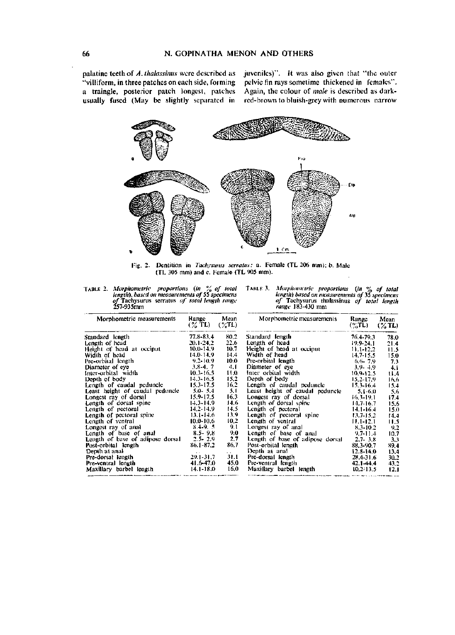palatine teeth of *A.thalassimis* were described as "villiform, in three patches on each side, forming a traingle, posterior patch longest, patches usually fused (May be slightly separated in

juveniles)". It was also given that "the outer pelvic fin rays sometime thickened in females". Again, the colour of *male* is described as darkred-brown to bluish-grey with numerous narrow



Fig. 2. Dentition in *Tachysunis serratus:* a. Female (TL 206 mm); b. Male (TL 305 mm) and c. Female (TL 905 mm).

TABLE 2. *Morphometric proportions (in* % *of total length), based on measurements of* 55 *specimens of* Tachysunis serratus *of total length range*  257-935mm

TABLE 3. *Morphometric proportions (in* % *of total length) based on measurements of 35 specimens of* Tachysurus thalassinus *of total length range* 183-430 mm

| Morphometric measurements        | Range<br>(% TL) | Mean<br>$(\%TL)$ | Morphometric measurements        | Range<br>$($ %TL) | Mean<br>$(\%$ TL) |  |
|----------------------------------|-----------------|------------------|----------------------------------|-------------------|-------------------|--|
| Standard length                  | 77.8-83.4       | 80.2             | Standard length                  | 76.4-79.3         | 78.0              |  |
| Length of head                   | 20.1-24.2       | 22.6             | Length of head                   | 19.9-24.1         | 21.4              |  |
| Height of head at occiput        | 10.0-14.9       | 10.7             | Height of head at occiput        | $11.1 - 12.2$     | 11.5              |  |
| Width of head                    | $14.0 - 14.9$   | 14.4             | Width of head                    | $14.7 - 15.5$     | 15.0              |  |
| Pre-orbital length               | $9.2 - 10.9$    | 10.0             | Pre-orbital length               | $6.6 - 7.9$       | 7.3               |  |
| Diameter of eye                  | $3.8 - 4.7$     | 4.1              | Diameter of eye                  | $3.9 - 4.9$       | 4.1               |  |
| Inter-orbital width              | $10.3 - 16.5$   | 11.0             | Inter orbital width              | $10.9 - 12.5$     | 11.4              |  |
| Depth of body                    | 14.3-16.5       | 15.2             | Depth of body                    | $15.2 - 17.9$     | 16.6              |  |
| Length of caudal peduncle        | $15.3 - 17.5$   | 16.2             | Length of caudal peduncle        | $15.3 - 16.4$     | 15.4              |  |
| Least height of caudal peduncle  | $5.0 - 5.4$     | 5.1              | Least beight of caudal peduncle  | $5.1 - 6.0$       | 5.6               |  |
| Longest ray of dorsal            | 15.9-17.5       | 16.3             | Longest ray of dorsal            | 16.3-19.1         | 17.4              |  |
| Length of dorsal spine           | $14.3 - 14.9$   | 14.6             | Length of dorsal spine           | 14.7-16.7         | 15.6              |  |
| Length of pectoral               | 14.2-14.9       | 14.5             | Length of pectoral               | $14.1 - 16.4$     | 15.0              |  |
| Length of pectoral spine         | 13.1-14.6       | 13.9             | Length of pectoral spine         | 13.7-15.2         | 14.4              |  |
| Length of ventral                | $10.0 - 10.6$   | 10.2             | Length of ventral                | $11.1 - 12.1$     | 11.5              |  |
| Longest ray of anal              | $8,4-9,5$       | 9.1              | Longest ray of anal              | 8.3-10.2          | 9.2               |  |
| Length of base of anal           | $8.5 - 9.8$     | 9.0              | Length of base of anal           | $9.7 - 11.4$      | 10.7              |  |
| Length of base of adipose dorsal | $2.5 - 2.9$     | 2,7              | Length of base of adipose dorsal | $2.7 - 3.8$       | 3.3               |  |
| Post-orbital length              | $86.1 - 87.2$   | 86,7             | Post-orbital length              | 88, 3-90, 7       | 89,4              |  |
| Depth at anal                    |                 | $\ddotsc$        | Depth at anal                    | $12.8 - 14.0$     | 13.4              |  |
| Pre-dorsal length                | $29.1 - 31.7$   | 31.1             | Pre-dorsal length                | 28.4-31.6         | 30.2              |  |
| Pre-ventral length               | 41.6-47.0       | 45.0             | Pre-ventral length               | 42.1-44.4         | 43.2              |  |
| Maxillary barbel length          | $14.1 - 18.0$   | 16,0             | Maxillary barbel length          | $10.2 - 13.5$     | 12.1              |  |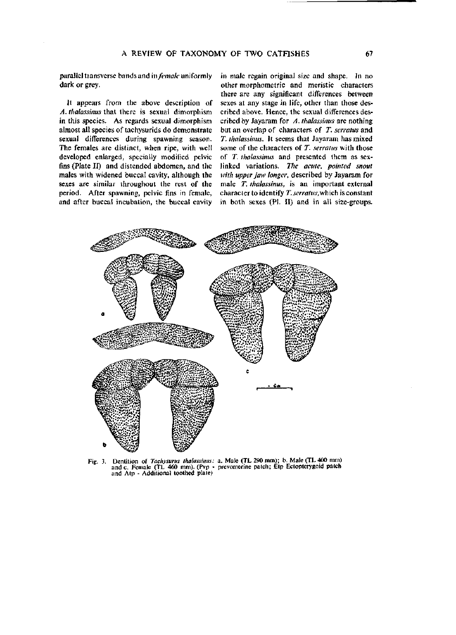parallel transverse bands and in *female* uniformly dark or grey.

Jt appears from the above description of *A. thalassinus* that there is sexual dimorphism in this species. As regards sexual dimorphism almost all species of tachysurids do demonstrate sexual differences during spawning season. The females are distinct, when ripe, with well developed enlarged, specially modified pelvic fins (Plate II) and distended abdomen, and the males with widened buccal cavity, although the sexes are similar throughout the rest of the period. After spawning, pelvic fins in female, and after buccal incubation, the buccal cavity

in male regain original size and shape. In no other morphometric and meristic characters there are any significant differences between sexes at any stage in life, other than those described above. Hence, the sexual differences described by Jayaram for *A. thalassinus* are nothing but an overlap of characters of *T. serratus* and *T. thalassinus.* It seems that Jayaram has mixed some of the characters of *T. serratus* with those of *T. thalassinus* and presented them as sexlinked variations. *The acute, pointed snout with upper jaw longer,* described by Jayaram for male *T. thalassinus,* is an important external character to identify *T. serratus,which* is constant in both sexes (PI. II) and in all size-groups.



Fig. 3. Dentition of *Tachysurus thalassinus:*  a. Male (TL 290 mm); b. Male (TL 400 mm) and c. Female (TL 460 mm). (Pvp - and Atp - Additional toothed plate) prevomerine patch; Etp Ectopterygoid patch